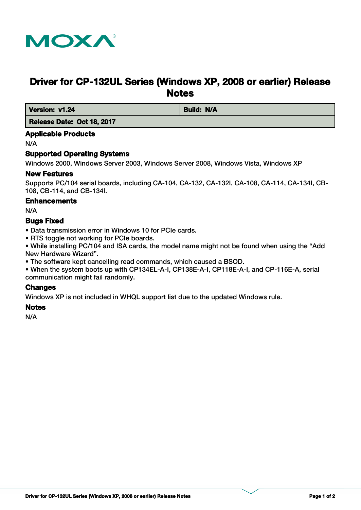

# **Driver for CP-132UL Series (Windows XP, 2008 or earlier) Release Notes**

*Version: v1.24* **Build: N/A** 

 **Release Date: Oct 18, 2017**

## **Applicable Products**

N/A

## **Supported Operating Systems**

Windows 2000, Windows Server 2003, Windows Server 2008, Windows Vista, Windows XP

#### **New Features**

Supports PC/104 serial boards, including CA-104, CA-132, CA-132I, CA-108, CA-114, CA-134I, CB-108, CB-114, and CB-134I.

#### **Enhancements**

N/A

## **Bugs Fixed**

- Data transmission error in Windows 10 for PCIe cards.
- RTS toggle not working for PCIe boards.

• While installing PC/104 and ISA cards, the model name might not be found when using the "Add New Hardware Wizard".

• The software kept cancelling read commands, which caused a BSOD.

• When the system boots up with CP134EL-A-I, CP138E-A-I, CP118E-A-I, and CP-116E-A, serial communication might fail randomly.

## **Changes**

Windows XP is not included in WHQL support list due to the updated Windows rule.

#### **Notes**

N/A